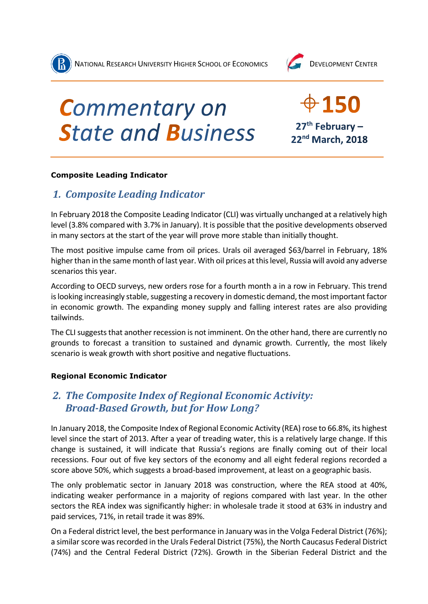



# **Commentary on State and Business**

 $0.150$  $27<sup>th</sup>$  February -22nd March, 2018

## **Composite Leading Indicator**

# *1. Composite Leading Indicator*

In February 2018 the Composite Leading Indicator (CLI) was virtually unchanged at a relatively high level (3.8% compared with 3.7% in January). It is possible that the positive developments observed in many sectors at the start of the year will prove more stable than initially thought.

The most positive impulse came from oil prices. Urals oil averaged \$63/barrel in February, 18% higher than in the same month of last year. With oil prices at this level, Russia will avoid any adverse scenarios this year.

According to OECD surveys, new orders rose for a fourth month a in a row in February. This trend is looking increasingly stable, suggesting a recovery in domestic demand, the most important factor in economic growth. The expanding money supply and falling interest rates are also providing tailwinds.

The CLI suggests that another recession is not imminent. On the other hand, there are currently no grounds to forecast a transition to sustained and dynamic growth. Currently, the most likely scenario is weak growth with short positive and negative fluctuations.

## **Regional Economic Indicator**

# *2. The Composite Index of Regional Economic Activity: Broad-Based Growth, but for How Long?*

In January 2018, the Composite Index of Regional Economic Activity (REA) rose to 66.8%, its highest level since the start of 2013. After a year of treading water, this is a relatively large change. If this change is sustained, it will indicate that Russia's regions are finally coming out of their local recessions. Four out of five key sectors of the economy and all eight federal regions recorded a score above 50%, which suggests a broad-based improvement, at least on a geographic basis.

The only problematic sector in January 2018 was construction, where the REA stood at 40%, indicating weaker performance in a majority of regions compared with last year. In the other sectors the REA index was significantly higher: in wholesale trade it stood at 63% in industry and paid services, 71%, in retail trade it was 89%.

On a Federal district level, the best performance in January was in the Volga Federal District (76%); a similar score was recorded in the Urals Federal District (75%), the North Caucasus Federal District (74%) and the Central Federal District (72%). Growth in the Siberian Federal District and the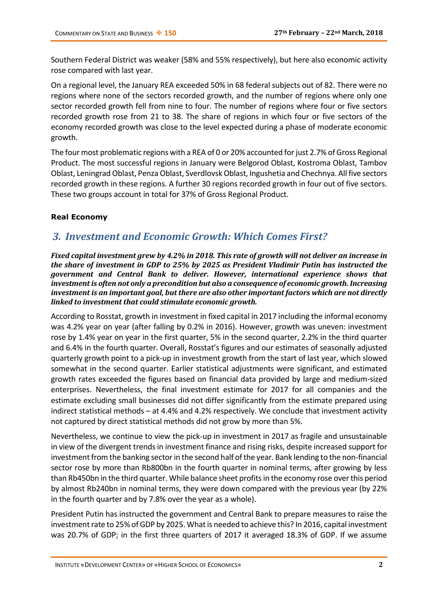Southern Federal District was weaker (58% and 55% respectively), but here also economic activity rose compared with last year.

On a regional level, the January REA exceeded 50% in 68 federal subjects out of 82. There were no regions where none of the sectors recorded growth, and the number of regions where only one sector recorded growth fell from nine to four. The number of regions where four or five sectors recorded growth rose from 21 to 38. The share of regions in which four or five sectors of the economy recorded growth was close to the level expected during a phase of moderate economic growth.

The four most problematic regions with a REA of 0 or 20% accounted for just 2.7% of Gross Regional Product. The most successful regions in January were Belgorod Oblast, Kostroma Oblast, Tambov Oblast, Leningrad Oblast, Penza Oblast, Sverdlovsk Oblast, Ingushetia and Chechnya. All five sectors recorded growth in these regions. A further 30 regions recorded growth in four out of five sectors. These two groups account in total for 37% of Gross Regional Product.

## **Real Economy**

## *3. Investment and Economic Growth: Which Comes First?*

*Fixed capital investment grew by 4.2% in 2018. This rate of growth will not deliver an increase in the share of investment in GDP to 25% by 2025 as President Vladimir Putin has instructed the government and Central Bank to deliver. However, international experience shows that investment is often not only a precondition but also a consequence of economic growth. Increasing investment is an important goal, but there are also other important factors which are not directly linked to investment that could stimulate economic growth.*

According to Rosstat, growth in investment in fixed capital in 2017 including the informal economy was 4.2% year on year (after falling by 0.2% in 2016). However, growth was uneven: investment rose by 1.4% year on year in the first quarter, 5% in the second quarter, 2.2% in the third quarter and 6.4% in the fourth quarter. Overall, Rosstat's figures and our estimates of seasonally adjusted quarterly growth point to a pick-up in investment growth from the start of last year, which slowed somewhat in the second quarter. Earlier statistical adjustments were significant, and estimated growth rates exceeded the figures based on financial data provided by large and medium-sized enterprises. Nevertheless, the final investment estimate for 2017 for all companies and the estimate excluding small businesses did not differ significantly from the estimate prepared using indirect statistical methods – at 4.4% and 4.2% respectively. We conclude that investment activity not captured by direct statistical methods did not grow by more than 5%.

Nevertheless, we continue to view the pick-up in investment in 2017 as fragile and unsustainable in view of the divergent trends in investment finance and rising risks, despite increased support for investment from the banking sector in the second half of the year. Bank lending to the non-financial sector rose by more than Rb800bn in the fourth quarter in nominal terms, after growing by less than Rb450bn in the third quarter. While balance sheet profits in the economy rose over this period by almost Rb240bn in nominal terms, they were down compared with the previous year (by 22% in the fourth quarter and by 7.8% over the year as a whole).

President Putin has instructed the government and Central Bank to prepare measures to raise the investment rate to 25% of GDP by 2025. What is needed to achieve this? In 2016, capital investment was 20.7% of GDP; in the first three quarters of 2017 it averaged 18.3% of GDP. If we assume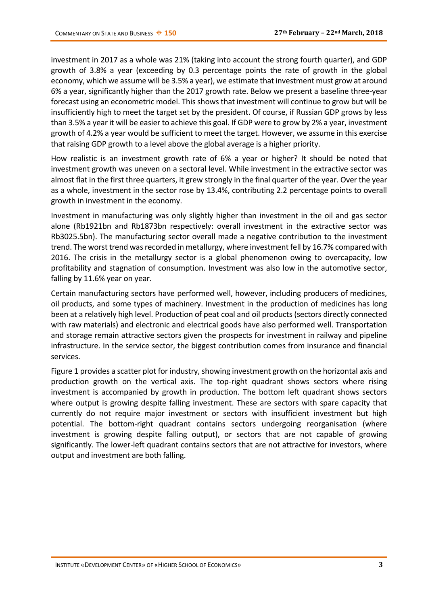investment in 2017 as a whole was 21% (taking into account the strong fourth quarter), and GDP growth of 3.8% a year (exceeding by 0.3 percentage points the rate of growth in the global economy, which we assume will be 3.5% a year), we estimate that investment must grow at around 6% a year, significantly higher than the 2017 growth rate. Below we present a baseline three-year forecast using an econometric model. This shows that investment will continue to grow but will be insufficiently high to meet the target set by the president. Of course, if Russian GDP grows by less than 3.5% a year it will be easier to achieve this goal. If GDP were to grow by 2% a year, investment growth of 4.2% a year would be sufficient to meet the target. However, we assume in this exercise that raising GDP growth to a level above the global average is a higher priority.

How realistic is an investment growth rate of 6% a year or higher? It should be noted that investment growth was uneven on a sectoral level. While investment in the extractive sector was almost flat in the first three quarters, it grew strongly in the final quarter of the year. Over the year as a whole, investment in the sector rose by 13.4%, contributing 2.2 percentage points to overall growth in investment in the economy.

Investment in manufacturing was only slightly higher than investment in the oil and gas sector alone (Rb1921bn and Rb1873bn respectively: overall investment in the extractive sector was Rb3025.5bn). The manufacturing sector overall made a negative contribution to the investment trend. The worst trend was recorded in metallurgy, where investment fell by 16.7% compared with 2016. The crisis in the metallurgy sector is a global phenomenon owing to overcapacity, low profitability and stagnation of consumption. Investment was also low in the automotive sector, falling by 11.6% year on year.

Certain manufacturing sectors have performed well, however, including producers of medicines, oil products, and some types of machinery. Investment in the production of medicines has long been at a relatively high level. Production of peat coal and oil products (sectors directly connected with raw materials) and electronic and electrical goods have also performed well. Transportation and storage remain attractive sectors given the prospects for investment in railway and pipeline infrastructure. In the service sector, the biggest contribution comes from insurance and financial services.

Figure 1 provides a scatter plot for industry, showing investment growth on the horizontal axis and production growth on the vertical axis. The top-right quadrant shows sectors where rising investment is accompanied by growth in production. The bottom left quadrant shows sectors where output is growing despite falling investment. These are sectors with spare capacity that currently do not require major investment or sectors with insufficient investment but high potential. The bottom-right quadrant contains sectors undergoing reorganisation (where investment is growing despite falling output), or sectors that are not capable of growing significantly. The lower-left quadrant contains sectors that are not attractive for investors, where output and investment are both falling.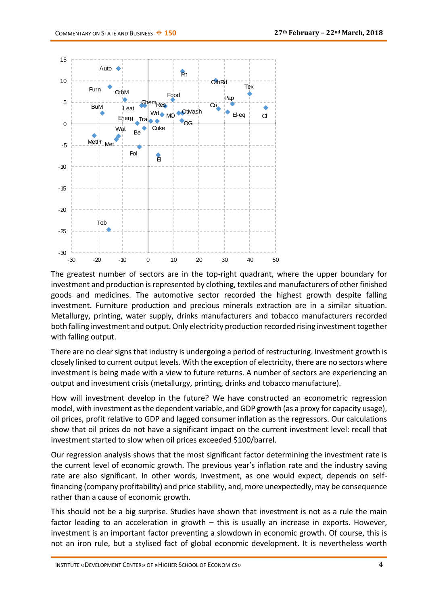

The greatest number of sectors are in the top-right quadrant, where the upper boundary for investment and production is represented by clothing, textiles and manufacturers of other finished goods and medicines. The automotive sector recorded the highest growth despite falling investment. Furniture production and precious minerals extraction are in a similar situation. Metallurgy, printing, water supply, drinks manufacturers and tobacco manufacturers recorded both falling investment and output. Only electricity production recorded rising investment together with falling output.

There are no clear signs that industry is undergoing a period of restructuring. Investment growth is closely linked to current output levels. With the exception of electricity, there are no sectors where investment is being made with a view to future returns. A number of sectors are experiencing an output and investment crisis (metallurgy, printing, drinks and tobacco manufacture).

How will investment develop in the future? We have constructed an econometric regression model, with investment as the dependent variable, and GDP growth (as a proxy for capacity usage), oil prices, profit relative to GDP and lagged consumer inflation as the regressors. Our calculations show that oil prices do not have a significant impact on the current investment level: recall that investment started to slow when oil prices exceeded \$100/barrel.

Our regression analysis shows that the most significant factor determining the investment rate is the current level of economic growth. The previous year's inflation rate and the industry saving rate are also significant. In other words, investment, as one would expect, depends on selffinancing (company profitability) and price stability, and, more unexpectedly, may be consequence rather than a cause of economic growth.

This should not be a big surprise. Studies have shown that investment is not as a rule the main factor leading to an acceleration in growth – this is usually an increase in exports. However, investment is an important factor preventing a slowdown in economic growth. Of course, this is not an iron rule, but a stylised fact of global economic development. It is nevertheless worth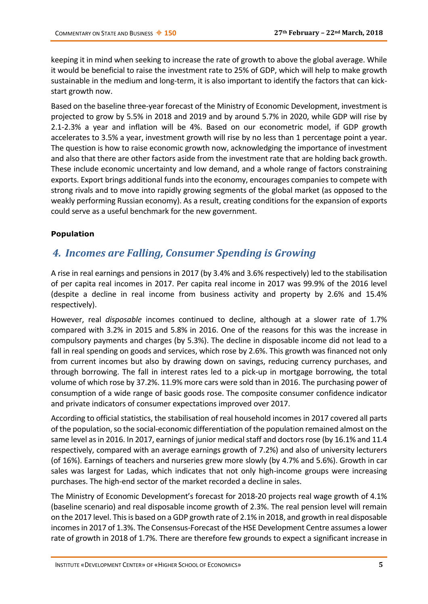keeping it in mind when seeking to increase the rate of growth to above the global average. While it would be beneficial to raise the investment rate to 25% of GDP, which will help to make growth sustainable in the medium and long-term, it is also important to identify the factors that can kickstart growth now.

Based on the baseline three-year forecast of the Ministry of Economic Development, investment is projected to grow by 5.5% in 2018 and 2019 and by around 5.7% in 2020, while GDP will rise by 2.1-2.3% a year and inflation will be 4%. Based on our econometric model, if GDP growth accelerates to 3.5% a year, investment growth will rise by no less than 1 percentage point a year. The question is how to raise economic growth now, acknowledging the importance of investment and also that there are other factors aside from the investment rate that are holding back growth. These include economic uncertainty and low demand, and a whole range of factors constraining exports. Export brings additional funds into the economy, encourages companies to compete with strong rivals and to move into rapidly growing segments of the global market (as opposed to the weakly performing Russian economy). As a result, creating conditions for the expansion of exports could serve as a useful benchmark for the new government.

## **Population**

## *4. Incomes are Falling, Consumer Spending is Growing*

A rise in real earnings and pensions in 2017 (by 3.4% and 3.6% respectively) led to the stabilisation of per capita real incomes in 2017. Per capita real income in 2017 was 99.9% of the 2016 level (despite a decline in real income from business activity and property by 2.6% and 15.4% respectively).

However, real *disposable* incomes continued to decline, although at a slower rate of 1.7% compared with 3.2% in 2015 and 5.8% in 2016. One of the reasons for this was the increase in compulsory payments and charges (by 5.3%). The decline in disposable income did not lead to a fall in real spending on goods and services, which rose by 2.6%. This growth was financed not only from current incomes but also by drawing down on savings, reducing currency purchases, and through borrowing. The fall in interest rates led to a pick-up in mortgage borrowing, the total volume of which rose by 37.2%. 11.9% more cars were sold than in 2016. The purchasing power of consumption of a wide range of basic goods rose. The composite consumer confidence indicator and private indicators of consumer expectations improved over 2017.

According to official statistics, the stabilisation of real household incomes in 2017 covered all parts of the population, so the social-economic differentiation of the population remained almost on the same level as in 2016. In 2017, earnings of junior medical staff and doctors rose (by 16.1% and 11.4 respectively, compared with an average earnings growth of 7.2%) and also of university lecturers (of 16%). Earnings of teachers and nurseries grew more slowly (by 4.7% and 5.6%). Growth in car sales was largest for Ladas, which indicates that not only high-income groups were increasing purchases. The high-end sector of the market recorded a decline in sales.

The Ministry of Economic Development's forecast for 2018-20 projects real wage growth of 4.1% (baseline scenario) and real disposable income growth of 2.3%. The real pension level will remain on the 2017 level. This is based on a GDP growth rate of 2.1% in 2018, and growth in real disposable incomes in 2017 of 1.3%. The Consensus-Forecast of the HSE Development Centre assumes a lower rate of growth in 2018 of 1.7%. There are therefore few grounds to expect a significant increase in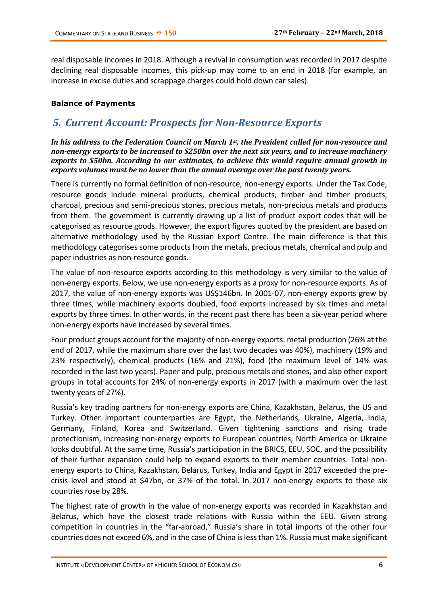real disposable incomes in 2018. Although a revival in consumption was recorded in 2017 despite declining real disposable incomes, this pick-up may come to an end in 2018 (for example, an increase in excise duties and scrappage charges could hold down car sales).

## **Balance of Payments**

## *5. Current Account: Prospects for Non-Resource Exports*

*In his address to the Federation Council on March 1st, the President called for non-resource and non-energy exports to be increased to \$250bn over the next six years, and to increase machinery exports to \$50bn. According to our estimates, to achieve this would require annual growth in exports volumes must be no lower than the annual average over the past twenty years.*

There is currently no formal definition of non-resource, non-energy exports. Under the Tax Code, resource goods include mineral products, chemical products, timber and timber products, charcoal, precious and semi-precious stones, precious metals, non-precious metals and products from them. The government is currently drawing up a list of product export codes that will be categorised as resource goods. However, the export figures quoted by the president are based on alternative methodology used by the Russian Export Centre. The main difference is that this methodology categorises some products from the metals, precious metals, chemical and pulp and paper industries as non-resource goods.

The value of non-resource exports according to this methodology is very similar to the value of non-energy exports. Below, we use non-energy exports as a proxy for non-resource exports. As of 2017, the value of non-energy exports was US\$146bn. In 2001-07, non-energy exports grew by three times, while machinery exports doubled, food exports increased by six times and metal exports by three times. In other words, in the recent past there has been a six-year period where non-energy exports have increased by several times.

Four product groups account for the majority of non-energy exports: metal production (26% at the end of 2017, while the maximum share over the last two decades was 40%), machinery (19% and 23% respectively), chemical products (16% and 21%), food (the maximum level of 14% was recorded in the last two years). Paper and pulp, precious metals and stones, and also other export groups in total accounts for 24% of non-energy exports in 2017 (with a maximum over the last twenty years of 27%).

Russia's key trading partners for non-energy exports are China, Kazakhstan, Belarus, the US and Turkey. Other important counterparties are Egypt, the Netherlands, Ukraine, Algeria, India, Germany, Finland, Korea and Switzerland. Given tightening sanctions and rising trade protectionism, increasing non-energy exports to European countries, North America or Ukraine looks doubtful. At the same time, Russia's participation in the BRICS, EEU, SOC, and the possibility of their further expansion could help to expand exports to their member countries. Total nonenergy exports to China, Kazakhstan, Belarus, Turkey, India and Egypt in 2017 exceeded the precrisis level and stood at \$47bn, or 37% of the total. In 2017 non-energy exports to these six countries rose by 28%.

The highest rate of growth in the value of non-energy exports was recorded in Kazakhstan and Belarus, which have the closest trade relations with Russia within the EEU. Given strong competition in countries in the "far-abroad," Russia's share in total imports of the other four countries does not exceed 6%, and in the case of China is less than 1%. Russia must make significant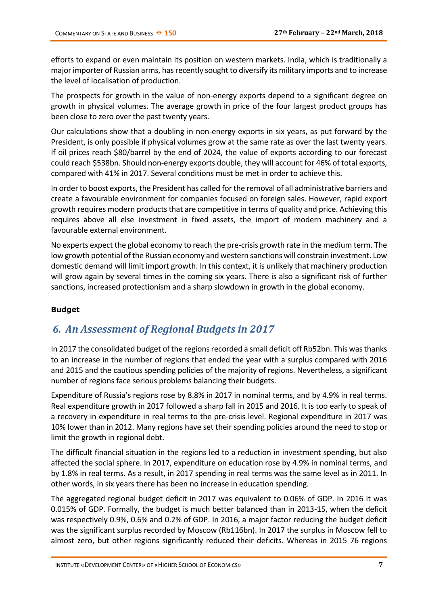efforts to expand or even maintain its position on western markets. India, which is traditionally a major importer of Russian arms, has recently sought to diversify its military imports and to increase the level of localisation of production.

The prospects for growth in the value of non-energy exports depend to a significant degree on growth in physical volumes. The average growth in price of the four largest product groups has been close to zero over the past twenty years.

Our calculations show that a doubling in non-energy exports in six years, as put forward by the President, is only possible if physical volumes grow at the same rate as over the last twenty years. If oil prices reach \$80/barrel by the end of 2024, the value of exports according to our forecast could reach \$538bn. Should non-energy exports double, they will account for 46% of total exports, compared with 41% in 2017. Several conditions must be met in order to achieve this.

In order to boost exports, the President has called for the removal of all administrative barriers and create a favourable environment for companies focused on foreign sales. However, rapid export growth requires modern products that are competitive in terms of quality and price. Achieving this requires above all else investment in fixed assets, the import of modern machinery and a favourable external environment.

No experts expect the global economy to reach the pre-crisis growth rate in the medium term. The low growth potential of the Russian economy and western sanctions will constrain investment. Low domestic demand will limit import growth. In this context, it is unlikely that machinery production will grow again by several times in the coming six years. There is also a significant risk of further sanctions, increased protectionism and a sharp slowdown in growth in the global economy.

## **Budget**

# *6. An Assessment of Regional Budgets in 2017*

In 2017 the consolidated budget of the regions recorded a small deficit off Rb52bn. This was thanks to an increase in the number of regions that ended the year with a surplus compared with 2016 and 2015 and the cautious spending policies of the majority of regions. Nevertheless, a significant number of regions face serious problems balancing their budgets.

Expenditure of Russia's regions rose by 8.8% in 2017 in nominal terms, and by 4.9% in real terms. Real expenditure growth in 2017 followed a sharp fall in 2015 and 2016. It is too early to speak of a recovery in expenditure in real terms to the pre-crisis level. Regional expenditure in 2017 was 10% lower than in 2012. Many regions have set their spending policies around the need to stop or limit the growth in regional debt.

The difficult financial situation in the regions led to a reduction in investment spending, but also affected the social sphere. In 2017, expenditure on education rose by 4.9% in nominal terms, and by 1.8% in real terms. As a result, in 2017 spending in real terms was the same level as in 2011. In other words, in six years there has been no increase in education spending.

The aggregated regional budget deficit in 2017 was equivalent to 0.06% of GDP. In 2016 it was 0.015% of GDP. Formally, the budget is much better balanced than in 2013-15, when the deficit was respectively 0.9%, 0.6% and 0.2% of GDP. In 2016, a major factor reducing the budget deficit was the significant surplus recorded by Moscow (Rb116bn). In 2017 the surplus in Moscow fell to almost zero, but other regions significantly reduced their deficits. Whereas in 2015 76 regions